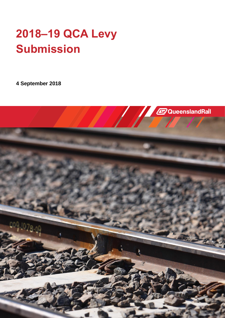# **2018–19 QCA Levy Submission**

**4 September 2018**

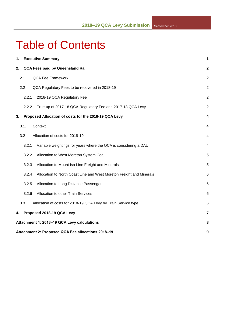# Table of Contents

| 1. |       | <b>Executive Summary</b>                                             | 1              |  |  |  |
|----|-------|----------------------------------------------------------------------|----------------|--|--|--|
| 2. |       | QCA Fees paid by Queensland Rail                                     | 2              |  |  |  |
|    | 2.1   | <b>QCA Fee Framework</b>                                             | $\overline{2}$ |  |  |  |
|    | 2.2   | QCA Regulatory Fees to be recovered in 2018-19                       | $\overline{2}$ |  |  |  |
|    | 2.2.1 | 2018-19 QCA Regulatory Fee                                           | $\overline{2}$ |  |  |  |
|    | 2.2.2 | True-up of 2017-18 QCA Regulatory Fee and 2017-18 QCA Levy           | $\overline{2}$ |  |  |  |
| 3. |       | Proposed Allocation of costs for the 2018-19 QCA Levy                | 4              |  |  |  |
|    | 3.1.  | Context                                                              | 4              |  |  |  |
|    | 3.2   | Allocation of costs for 2018-19                                      | 4              |  |  |  |
|    | 3.2.1 | Variable weightings for years where the QCA is considering a DAU     | 4              |  |  |  |
|    | 3.2.2 | Allocation to West Moreton System Coal                               | 5              |  |  |  |
|    | 3.2.3 | Allocation to Mount Isa Line Freight and Minerals                    | 5              |  |  |  |
|    | 3.2.4 | Allocation to North Coast Line and West Moreton Freight and Minerals | 6              |  |  |  |
|    | 3.2.5 | Allocation to Long Distance Passenger                                | 6              |  |  |  |
|    | 3.2.6 | Allocation to other Train Services                                   | 6              |  |  |  |
|    | 3.3   | Allocation of costs for 2018-19 QCA Levy by Train Service type       | 6              |  |  |  |
| 4. |       | Proposed 2018-19 QCA Levy                                            | $\overline{7}$ |  |  |  |
|    |       | Attachment 1: 2018-19 QCA Levy calculations<br>8                     |                |  |  |  |
|    |       | Attachment 2: Proposed QCA Fee allocations 2018-19<br>9              |                |  |  |  |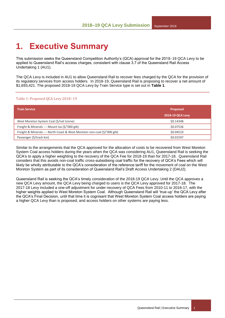# <span id="page-2-0"></span>**1. Executive Summary**

This submission seeks the Queensland Competition Authority's (QCA) approval for the 2018–19 QCA Levy to be applied to Queensland Rail's access charges, consistent with clause 3.7 of the Queensland Rail Access Undertaking 1 (AU1).

The QCA Levy is included in AU1 to allow Queensland Rail to recover fees charged by the QCA for the provision of its regulatory services from access holders. In 2018-19, Queensland Rail is proposing to recover a net amount of \$1,693,421. The proposed 2018-19 QCA Levy by Train Service type is set out in **Table 1**.

#### Table 1: Proposed QCA Levy 2018-19

| <b>Train Service</b>                                                   | <b>Proposed</b><br><b>2018-19 QCA Levy</b> |
|------------------------------------------------------------------------|--------------------------------------------|
| West Moreton System Coal (\$/net tonne)                                | \$0.14348                                  |
| Freight & Minerals - Mount Isa (\$/'000 gtk)                           | \$0.07536                                  |
| Freight & Minerals - North Coast & West Moreton non-coal (\$/'000 gtk) | \$0.04519                                  |
| Passenger (\$/track km)                                                | \$0.01597                                  |

Similar to the arrangements that the QCA approved for the allocation of costs to be recovered from West Moreton System Coal access holders during the years when the QCA was considering AU1, Queensland Rail is seeking the QCA's to apply a higher weighting to the recovery of the QCA Fee for 2018-19 than for 2017-18. Queensland Rail considers that this avoids non-coal traffic cross-subsidising coal traffic for the recovery of QCA's Fees which will likely be wholly attributable to the QCA's consideration of the reference tariff for the movement of coal on the West Moreton System as part of its consideration of Queensland Rail's Draft Access Undertaking 2 (DAU2).

Queensland Rail is seeking the QCA's timely consideration of the 2018-19 QCA Levy. Until the QCA approves a new QCA Levy amount, the QCA Levy being charged to users is the QCA Levy approved for 2017-18. The 2017-18 Levy included a one-off adjustment for under-recovery of QCA Fees from 2010-11 to 2016-17, with the higher weights applied to West Moreton System Coal. Although Queensland Rail will 'true-up' the QCA Levy after the QCA's Final Decision, until that time it is cognisant that West Moreton System Coal access holders are paying a higher QCA Levy than is proposed, and access holders on other systems are paying less.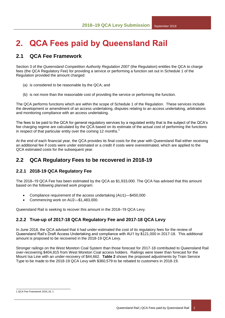# <span id="page-3-0"></span>**2. QCA Fees paid by Queensland Rail**

## <span id="page-3-1"></span>**2.1 QCA Fee Framework**

Section 3 of the *Queensland Competition Authority Regulation 2007* (the Regulation) entitles the QCA to charge fees (the QCA Regulatory Fee) for providing a service or performing a function set out in Schedule 1 of the Regulation provided the amount charged:

- (a) is considered to be reasonable by the QCA; and
- (b) is not more than the reasonable cost of providing the service or performing the function.

The QCA performs functions which are within the scope of Schedule 1 of the Regulation. These services include the development or amendment of an access undertaking, disputes relating to an access undertaking, arbitrations and monitoring compliance with an access undertaking.

The fees to be paid to the QCA for general regulatory services by a regulated entity that is the subject of the QCA's fee charging regime are calculated by the QCA based on its estimate of the actual cost of performing the functions in respect of that particular entity over the coming 12 months.

At the end of each financial year, the QCA provides its final costs for the year with Queensland Rail either receiving an additional fee if costs were under estimated or a credit if costs were overestimated, which are applied to the QCA estimated costs for the subsequent year.

### <span id="page-3-2"></span>**2.2 QCA Regulatory Fees to be recovered in 2018-19**

#### <span id="page-3-3"></span>**2.2.1 2018-19 QCA Regulatory Fee**

The 2018–19 QCA Fee has been estimated by the QCA as \$1,933,000. The QCA has advised that this amount based on the following planned work program:

- Compliance requirement of the access undertaking (AU1)—\$450,000
- Commencing work on AU2—\$1,483,000.

<span id="page-3-4"></span>Queensland Rail is seeking to recover this amount in the 2018–19 QCA Levy.

### **2.2.2 True-up of 2017-18 QCA Regulatory Fee and 2017-18 QCA Levy**

In June 2018, the QCA advised that it had under-estimated the cost of its regulatory fees for the review of Queensland Rail's Draft Access Undertaking and compliance with AU1 by \$121,000 in 2017-18. This additional amount is proposed to be recovered in the 2018-19 QCA Levy.

Stronger railings on the West Moreton Coal System than those forecast for 2017-18 contributed to Queensland Rail over-recovering \$404,815 from West Moreton Coal access holders. Railings were lower than forecast for the Mount Isa Line with an under-recovery of \$44,662. **Table 2** shows the proposed adjustments by Train Service Type to be made to the 2018-19 QCA Levy with \$360,579 to be rebated to customers in 2018-19.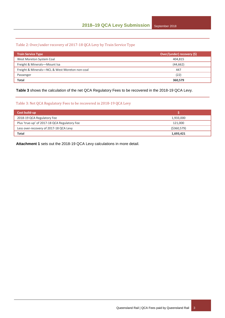#### Table 2: Over/under recovery of 2017-18 QCA Levy by Train Service Type

| <b>Train Service Type</b>                      | Over/(under) recovery (\$) |  |  |
|------------------------------------------------|----------------------------|--|--|
| West Moreton System Coal                       | 404.815                    |  |  |
| Freight & Minerals-Mount Isa                   | (44, 662)                  |  |  |
| Freight & Minerals-NCL & West Moreton non-coal | 447                        |  |  |
| Passenger                                      | (22)                       |  |  |
| <b>Total</b>                                   | 360,579                    |  |  |

**Table 3** shows the calculation of the net QCA Regulatory Fees to be recovered in the 2018-19 QCA Levy.

#### Table 3: Net QCA Regulatory Fees to be recovered in 2018-19 QCA Levy

| Cost build-up                                |               |
|----------------------------------------------|---------------|
| 2018-19 QCA Regulatory Fee                   | 1,933,000     |
| Plus 'true-up' of 2017-18 QCA Regulatory Fee | 121.000       |
| Less over-recovery of 2017-18 QCA Levy       | ( \$360, 579) |
| <b>Total</b>                                 | 1,693,421     |

**Attachment 1** sets out the 2018-19 QCA Levy calculations in more detail.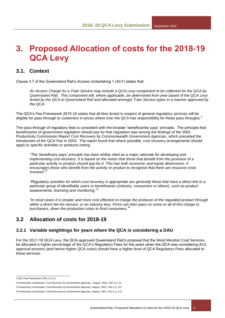## <span id="page-5-0"></span>**3. Proposed Allocation of costs for the 2018-19 QCA Levy**

### <span id="page-5-1"></span>**3.1. Context**

Clause 3.7 of the Queensland Rail's Access Undertaking 1 (AU1) states that:

*An Access Charge for a Train Service may include a QCA Levy component to be collected for the QCA by Queensland Rail. This component will, where applicable, be determined from year based of the QCA Levy levied by the QCA to Queensland Rail and allocated amongst Train Service types in a manner approved by the QCA.* 

The QCA's Fee Framework 2015-16 states that all fees levied in respect of general regulatory services will be eligible for pass through to customers in prices where ever the QCA has responsibility for these pass throughs.<sup>2</sup>

The pass-through of regulatory fees is consistent with the broader 'beneficiaries pays' principle. The principle that beneficiaries of government regulation should pay for that regulation was among the findings of the 2002 Productivity Commission *Report Cost Recovery by Commonwealth Government Agencies*, which preceded the introduction of the QCA Fee in 2003. The report found that where possible, cost recovery arrangements should apply to specific activities or products noting:

*"The 'beneficiary pays' principle has been widely cited as a major rationale for developing and implementing cost recovery. It is based on the notion that those that benefit from the provision of a particular activity or product should pay for it. This has both economic and equity dimensions. It encourages those who benefit from the activity or product to recognise that there are resource costs involved."<sup>3</sup>*

*"Regulatory activities for which cost recovery is appropriate are generally those that have a direct link to a particular group of identifiable users or beneficiaries (industry, consumers or others), such as product assessments, licensing and monitoring."<sup>4</sup>*

*"In most cases it is simpler and more cost effective to charge the producer of the regulated product through either a direct fee-for-service, or an industry levy. Firms can then pass on some or all of this charge to purchasers, down the production chain to final consumers."<sup>5</sup>*

### <span id="page-5-2"></span>**3.2 Allocation of costs for 2018-19**

#### <span id="page-5-3"></span>**3.2.1 Variable weightings for years where the QCA is considering a DAU**

For the 2017-18 QCA Levy, the QCA approved Queensland Rail's proposal that the West Moreton Coal Services be allocated a higher percentage of the QCA's Regulatory Fees for the years when the QCA was considering AU1 approval process (and hence higher QCA costs) should have a higher level of QCA Regulatory Fees allocated to these services.

l 2 QCA Fee Framework 2015‐ 16, p 2

<sup>3</sup> Productivity Commission, Cost Recovery by Government Agencies , August 2001, Part 1 p. 15

<sup>4</sup> Productivity Commission, Cost Recovery by Government Agencies, August 2001, Part 1 p. 157

<sup>5</sup> Productivity Commission, Cost Recovery by Government Agencies, August 2001, Part 1 p. 173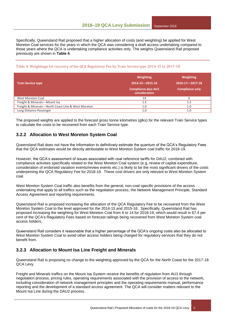Specifically, Queensland Rail proposed that a higher allocation of costs (and weighting) be applied for West Moreton Coal services for the years in which the QCA was considering a draft access undertaking compared to those years where the QCA is undertaking compliance activities only. The weights Queensland Rail proposed previously are shown in **Table 4**.

#### Table 4: Weightings for recovery of the QCA Regulatory Fee by Train Service type 2014-15 to 2017-18

| <b>Train Service type</b>                          | <b>Weighting</b><br>$2014 - 15 - 2015 - 16$<br><b>Compliance plus AU1</b><br>consideration | <b>Weighting</b><br>$2016 - 17 - 2017 - 18$<br><b>Compliance only</b> |
|----------------------------------------------------|--------------------------------------------------------------------------------------------|-----------------------------------------------------------------------|
| West Moreton Coal                                  | 14                                                                                         | b                                                                     |
| Freight & Minerals-Mount Isa                       | 1.5                                                                                        | 1.5                                                                   |
| Freight & Minerals-North Coast Line & West Moreton | 1.0                                                                                        | 1.0                                                                   |
| Long Distance Passenger                            | 1.0                                                                                        | 1.0                                                                   |

The proposed weights are applied to the forecast gross tonne kilometres (gtks) for the relevant Train Service types to calculate the costs to be recovered from each Train Service type.

#### <span id="page-6-0"></span>**3.2.2 Allocation to West Moreton System Coal**

Queensland Rail does not have the information to definitively estimate the quantum of the QCA's Regulatory Fees that the QCA estimates would be directly attributable to West Moreton System coal traffic for 2018-19.

However, the QCA's assessment of issues associated with coal reference tariffs for DAU2, combined with compliance activities specifically related to the West Moreton Coal system (e.g. review of capital expenditure, consideration of endorsed variation events/review events etc.) is likely to be the most significant drivers of the costs underpinning the QCA Regulatory Fee for 2018-19. These cost drivers are only relevant to West Moreton System coal.

West Moreton System Coal traffic also benefits from the general, non-coal specific provisions of the access undertaking that apply to all traffics such as the negotiation process, the Network Management Principle, Standard Access Agreement and reporting requirements.

Queensland Rail is proposed increasing the allocation of the QCA Regulatory Fee to be recovered from the West Moreton System Coal to the level approved for the 2014-15 and 2015-16. Specifically, Queensland Rail has proposed increasing the weighting for West Moreton Coal from 6 to 14 for 2018-19, which would result in 67.4 per cent of the QCA's Regulatory Fees based on forecast railings being recovered from West Moreton System coal access holders.

Queensland Rail considers it reasonable that a higher percentage of the QCA's ongoing costs also be allocated to West Moreton System Coal to avoid other access holders being charged for regulatory services that they do not benefit from.

#### <span id="page-6-1"></span>**3.2.3 Allocation to Mount Isa Line Freight and Minerals**

Queensland Rail is proposing no change to the weighting approved by the QCA for the North Coast for the 2017-18 QCA Levy.

Freight and Minerals traffics on the Mount Isa System receive the benefits of regulation from AU1 through negotiation process, pricing rules, operating requirements associated with the provision of access to the network, including consideration of network management principles and the operating requirements manual, performance reporting and the development of a standard access agreement. The QCA will consider matters relevant to the Mount Isa Line during the DAU2 process.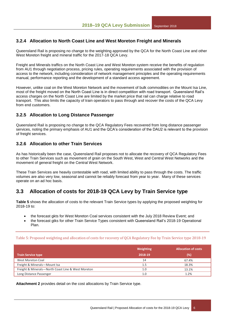### <span id="page-7-0"></span>**3.2.4 Allocation to North Coast Line and West Moreton Freight and Minerals**

Queensland Rail is proposing no change to the weighting approved by the QCA for the North Coast Line and other West Moreton freight and mineral traffic for the 2017-18 QCA Levy.

Freight and Minerals traffics on the North Coast Line and West Moreton system receive the benefits of regulation from AU1 through negotiation process, pricing rules, operating requirements associated with the provision of access to the network, including consideration of network management principles and the operating requirements manual, performance reporting and the development of a standard access agreement.

However, unlike coal on the West Moreton Network and the movement of bulk commodities on the Mount Isa Line, most of the freight moved on the North Coast Line is in direct competition with road transport. Queensland Rail's access charges on the North Coast Line are limited by the market price that rail can charge relative to road transport. This also limits the capacity of train operators to pass through and recover the costs of the QCA Levy from end customers.

#### <span id="page-7-1"></span>**3.2.5 Allocation to Long Distance Passenger**

Queensland Rail is proposing no change to the QCA Regulatory Fees recovered from long distance passenger services, noting the primary emphasis of AU1 and the QCA's consideration of the DAU2 is relevant to the provision of freight services.

#### <span id="page-7-2"></span>**3.2.6 Allocation to other Train Services**

As has historically been the case, Queensland Rail proposes not to allocate the recovery of QCA Regulatory Fees to other Train Services such as movement of grain on the South West, West and Central West Networks and the movement of general freight on the Central West Network.

These Train Services are heavily contestable with road, with limited ability to pass through the costs. The traffic volumes are also very low, seasonal and cannot be reliably forecast from year to year. Many of these services operate on an ad hoc basis.

### <span id="page-7-3"></span>**3.3 Allocation of costs for 2018-19 QCA Levy by Train Service type**

**Table 5** shows the allocation of costs to the relevant Train Service types by applying the proposed weighting for 2018-19 to:

- the forecast gkts for West Moreton Coal services consistent with the July 2018 Review Event; and
- the forecast gtks for other Train Service Types consistent with Queensland Rail's 2018-19 Operational Plan.

Table 5: Proposed weighting and allocation of costs for recovery of QCA Regulatory Fee by Train Service type 2018-19

|                                                    | Weighting | <b>Allocation of costs</b> |
|----------------------------------------------------|-----------|----------------------------|
| <b>Train Service type</b>                          | 2018-19   | (%)                        |
| West Moreton Coal                                  | 14        | 67.4%                      |
| Freight & Minerals-Mount Isa                       | 1.5       | 18.3%                      |
| Freight & Minerals-North Coast Line & West Moreton | 1.0       | 13.1%                      |
| Long Distance Passenger                            | 1.0       | 1.2%                       |

**Attachment 2** provides detail on the cost allocations by Train Service type.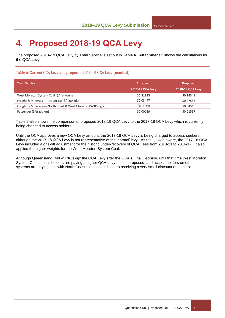# <span id="page-8-0"></span>**4. Proposed 2018-19 QCA Levy**

The proposed 2018‒19 QCA Levy by Train Service is set out in **Table 6**. **Attachment 1** shows the calculations for the QCA Levy.

#### Table 6: Current QCA Levy and proposed 2018-19 QCA Levy (nominal)

| <b>Train Service</b>                                          | <b>Approved</b>         | <b>Proposed</b>  |
|---------------------------------------------------------------|-------------------------|------------------|
|                                                               | <b>2017-18 QCA Levy</b> | 2018-19 QCA Levy |
| West Moreton System Coal (\$/net tonne)                       | \$0.31825               | \$0.14348        |
| Freight & Minerals - Mount Isa (\$/'000 gtk)                  | \$0.03447               | \$0.07536        |
| Freight & Minerals - North Coast & West Moreton (\$/'000 gtk) | $-50.00394$             | \$0.04519        |
| Passenger (\$/track km)                                       | \$0.00019               | \$0.01597        |

Table 6 also shows the comparison of proposed 2018-19 QCA Levy to the 2017-18 QCA Levy which is currently being changed to access holders.

Until the QCA approves a new QCA Levy amount, the 2017-18 QCA Levy is being charged to access seekers, although the 2017-18 QCA Levy is not representative of the 'normal' levy. As the QCA is aware, the 2017-18 QCA Levy included a one-off adjustment for the historic under-recovery of QCA Fees from 2010-11 to 2016-17. It also applied the higher weights for the West Moreton System Coal.

Although Queensland Rail will 'true-up' the QCA Levy after the QCA's Final Decision, until that time West Moreton System Coal access holders are paying a higher QCA Levy than is proposed, and access holders on other systems are paying less with North Coast Line access holders receiving a very small discount on each bill.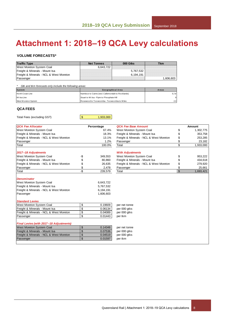# <span id="page-9-0"></span>**Attachment 1: 2018‒19 QCA Levy calculations**

#### **VOLUME FORECASTS\***

| <b>Traffic Type</b>                     | <b>Net Tonnes</b> | 000 Gtks  | Tkm      |
|-----------------------------------------|-------------------|-----------|----------|
| West Moreton System Coal                | 6.643.722         |           |          |
| Freight & Minerals - Mount Isa          |                   | 5.767.532 |          |
| Freight & Minerals - NCL & West Moreton |                   | 6.194.191 |          |
| Passenger                               |                   |           | .606.603 |

|  | Gtk and tkm forecasts only include the following areas: |  |  |  |  |  |
|--|---------------------------------------------------------|--|--|--|--|--|
|--|---------------------------------------------------------|--|--|--|--|--|

| Passenger                                               |                                                    | .606,603 ا |
|---------------------------------------------------------|----------------------------------------------------|------------|
| Gtk and tkm forecasts only include the following areas: |                                                    |            |
| System                                                  | Geographical Area                                  | Areas      |
| North Coast Line                                        | Nambour to Cairns (excl. Callemondah to Rocklands) | 5,7,8      |
| Mt Isa Line                                             | Stuart to Mt Isa - Flynn to Phosphate Hill         | 9          |
| West Moreton System                                     | Rosewood to Toowoomba - Toowoomba to Miles         | 2.3        |
|                                                         |                                                    |            |

#### **QCA FEES**

Total Fees (excluding GST)

 $\frac{1}{1,933,000}$ 

| <b>QCA Fee Allocator</b>                |                 | Percentage | QCA Fee Ba          |
|-----------------------------------------|-----------------|------------|---------------------|
| West Moreton System Coal                |                 | 67.4%      | <b>West Moretor</b> |
| Freight & Minerals - Mount Isa          |                 | 18.3%      | Freight & Min       |
| Freight & Minerals - NCL & West Moreton |                 | 13.1%      | Freight & Min       |
| Passenger                               |                 | 1.2%       | Passenger           |
| Total                                   |                 | 100.0%     | Total               |
| 2017-18 Adjustments                     |                 |            | <b>With Adjustr</b> |
| West Moreton System Coal                | -\$             | 349,553    | <b>West Moretor</b> |
| Freight & Minerals - Mount Isa          | \$              | 80,860     | Freight & Min       |
| Freight & Minerals - NCL & West Moreton | \$              | 26,635     | Freight & Min       |
| Passenger                               | \$              | 2,478      | Passenger           |
| Total                                   | -\$             | 239,579    | Total               |
| <b>Denominator</b>                      |                 |            |                     |
| West Moreton System Coal                |                 | 6,643,722  |                     |
| Freight & Minerals - Mount Isa          |                 | 5,767,532  |                     |
| Freight & Minerals - NCL & West Moreton |                 | 6,194,191  |                     |
| Passenger                               |                 | 1,606,603  |                     |
| <b>Standard Levies</b>                  |                 |            |                     |
| West Moreton System Coal                | \$              | 0.19609    | per net tonne       |
| Freight & Minerals - Mount Isa          | \$              | 0.06134    | per 000 gtks        |
| Freight & Minerals - NCL & West Moreton | \$              | 0.04089    | per 000 gtks        |
| Passenger                               | \$              | 0.01443    | per tkm             |
| Final Levies (with 2017-18 Adjustments) |                 |            |                     |
| <b>West Moreton System Coal</b>         | \$              | 0.14348    | per net tonne       |
| Freight & Minerals - Mount Isa          | $\overline{\$}$ | 0.07536    | per 000 gtks        |
| Freight & Minerals - NCL & West Moreton | \$              | 0.04519    | per 000 gtks        |
| Passenger                               | \$              | 0.01597    | per tkm             |
|                                         |                 |            |                     |

|                             | Percentage | <b>QCA Fee Base Amount</b>              | <b>Amount</b>   |
|-----------------------------|------------|-----------------------------------------|-----------------|
|                             | 67.4%      | West Moreton System Coal                | \$<br>1,302,775 |
|                             | 18.3%      | Freight & Minerals - Mount Isa          | \$<br>353,758   |
|                             | 13.1%      | Freight & Minerals - NCL & West Moreton | \$<br>253,285   |
|                             | 1.2%       | Passenger                               | \$<br>23,182    |
|                             | 100.0%     | Total                                   | \$<br>1,933,000 |
|                             |            | <b>With Adjustments</b>                 |                 |
| -\$                         | 349,553    | West Moreton System Coal                | \$<br>953,222   |
|                             | 80,860     | Freight & Minerals - Mount Isa          | \$<br>434,618   |
|                             | 26,635     | Freight & Minerals - NCL & West Moreton | \$<br>279,920   |
|                             | 2,478      | Passenger                               | \$<br>25,661    |
| $rac{4}{9}$ 8 $\frac{4}{9}$ | 239,579    | Total                                   | \$<br>1,693,421 |
|                             |            |                                         |                 |
|                             |            |                                         |                 |
|                             | 6,643,722  |                                         |                 |
|                             | 5,767,532  |                                         |                 |
|                             | 6,194,191  |                                         |                 |
|                             | 1,606,603  |                                         |                 |
|                             |            |                                         |                 |
|                             |            |                                         |                 |
| $\frac{1}{2}$               | 0.19609    | per net tonne                           |                 |
| $\frac{1}{2}$               | 0.06134    | per 000 gtks                            |                 |
|                             | 0.04089    | per 000 gtks                            |                 |
| \$                          | 0.01443    | per tkm                                 |                 |
|                             |            |                                         |                 |
| $\frac{1}{2}$               | 0.14348    | per net tonne                           |                 |
| \$                          | 0.07536    | per 000 atks                            |                 |
| $\overline{\mathbb{S}}$     | 0.04519    | per 000 atks                            |                 |